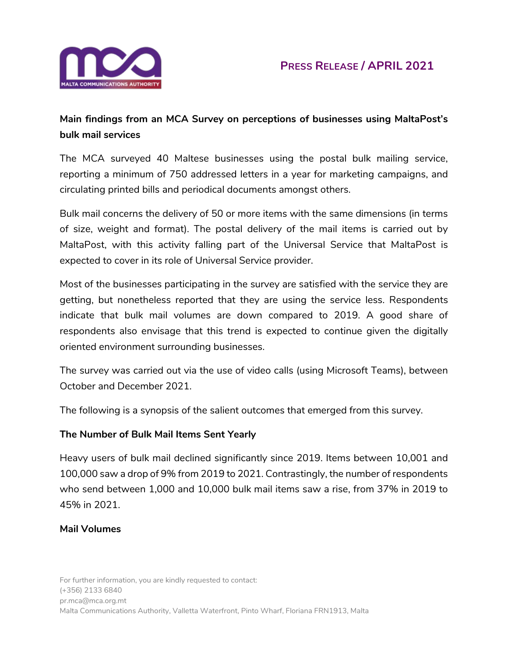

# **Main findings from an MCA Survey on perceptions of businesses using MaltaPost's bulk mail services**

The MCA surveyed 40 Maltese businesses using the postal bulk mailing service, reporting a minimum of 750 addressed letters in a year for marketing campaigns, and circulating printed bills and periodical documents amongst others.

Bulk mail concerns the delivery of 50 or more items with the same dimensions (in terms of size, weight and format). The postal delivery of the mail items is carried out by MaltaPost, with this activity falling part of the Universal Service that MaltaPost is expected to cover in its role of Universal Service provider.

Most of the businesses participating in the survey are satisfied with the service they are getting, but nonetheless reported that they are using the service less. Respondents indicate that bulk mail volumes are down compared to 2019. A good share of respondents also envisage that this trend is expected to continue given the digitally oriented environment surrounding businesses.

The survey was carried out via the use of video calls (using Microsoft Teams), between October and December 2021.

The following is a synopsis of the salient outcomes that emerged from this survey.

## **The Number of Bulk Mail Items Sent Yearly**

Heavy users of bulk mail declined significantly since 2019. Items between 10,001 and 100,000 saw a drop of 9% from 2019 to 2021. Contrastingly, the number of respondents who send between 1,000 and 10,000 bulk mail items saw a rise, from 37% in 2019 to 45% in 2021.

#### **Mail Volumes**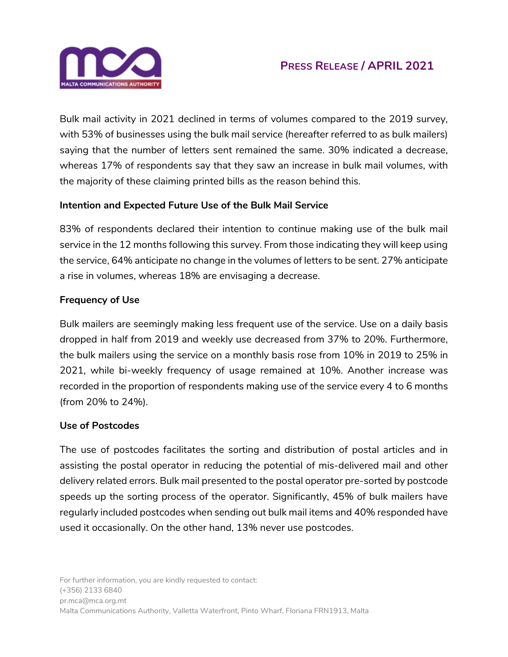

Bulk mail activity in 2021 declined in terms of volumes compared to the 2019 survey, with 53% of businesses using the bulk mail service (hereafter referred to as bulk mailers) saying that the number of letters sent remained the same. 30% indicated a decrease, whereas 17% of respondents say that they saw an increase in bulk mail volumes, with the majority of these claiming printed bills as the reason behind this.

# **Intention and Expected Future Use of the Bulk Mail Service**

83% of respondents declared their intention to continue making use of the bulk mail service in the 12 months following this survey. From those indicating they will keep using the service, 64% anticipate no change in the volumes of letters to be sent. 27% anticipate a rise in volumes, whereas 18% are envisaging a decrease.

# **Frequency of Use**

Bulk mailers are seemingly making less frequent use of the service. Use on a daily basis dropped in half from 2019 and weekly use decreased from 37% to 20%. Furthermore, the bulk mailers using the service on a monthly basis rose from 10% in 2019 to 25% in 2021, while bi-weekly frequency of usage remained at 10%. Another increase was recorded in the proportion of respondents making use of the service every 4 to 6 months (from 20% to 24%).

#### **Use of Postcodes**

The use of postcodes facilitates the sorting and distribution of postal articles and in assisting the postal operator in reducing the potential of mis-delivered mail and other delivery related errors. Bulk mail presented to the postal operator pre-sorted by postcode speeds up the sorting process of the operator. Significantly, 45% of bulk mailers have regularly included postcodes when sending out bulk mail items and 40% responded have used it occasionally. On the other hand, 13% never use postcodes.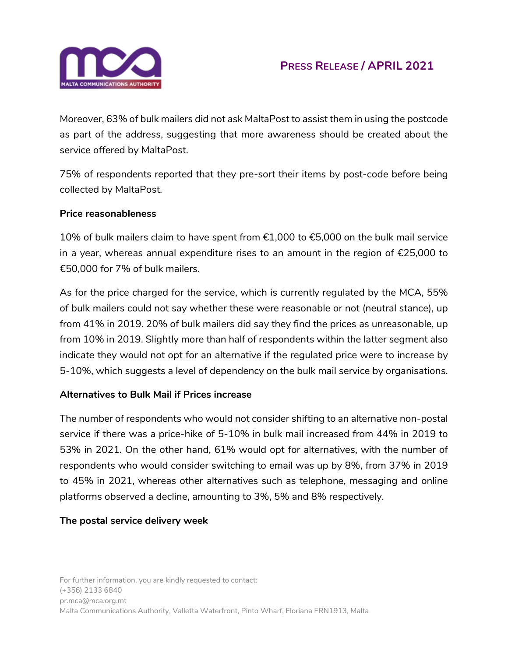

# **PRESS RELEASE / APRIL 2021**

Moreover, 63% of bulk mailers did not ask MaltaPost to assist them in using the postcode as part of the address, suggesting that more awareness should be created about the service offered by MaltaPost.

75% of respondents reported that they pre-sort their items by post-code before being collected by MaltaPost.

#### **Price reasonableness**

10% of bulk mailers claim to have spent from €1,000 to €5,000 on the bulk mail service in a year, whereas annual expenditure rises to an amount in the region of €25,000 to €50,000 for 7% of bulk mailers.

As for the price charged for the service, which is currently regulated by the MCA, 55% of bulk mailers could not say whether these were reasonable or not (neutral stance), up from 41% in 2019. 20% of bulk mailers did say they find the prices as unreasonable, up from 10% in 2019. Slightly more than half of respondents within the latter segment also indicate they would not opt for an alternative if the regulated price were to increase by 5-10%, which suggests a level of dependency on the bulk mail service by organisations.

## **Alternatives to Bulk Mail if Prices increase**

The number of respondents who would not consider shifting to an alternative non-postal service if there was a price-hike of 5-10% in bulk mail increased from 44% in 2019 to 53% in 2021. On the other hand, 61% would opt for alternatives, with the number of respondents who would consider switching to email was up by 8%, from 37% in 2019 to 45% in 2021, whereas other alternatives such as telephone, messaging and online platforms observed a decline, amounting to 3%, 5% and 8% respectively.

#### **The postal service delivery week**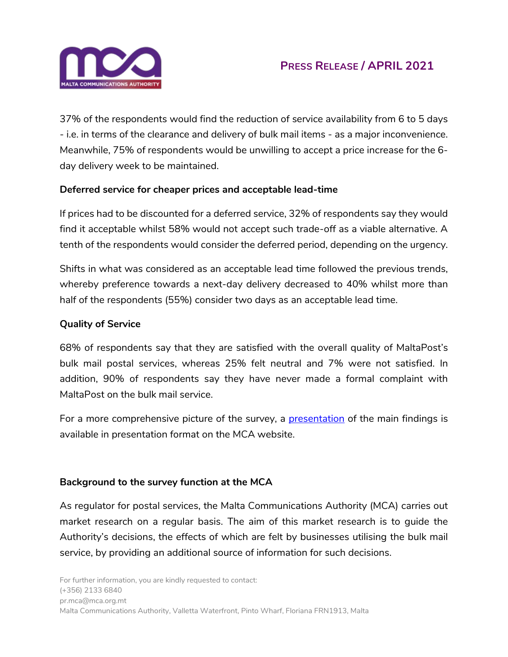

37% of the respondents would find the reduction of service availability from 6 to 5 days - i.e. in terms of the clearance and delivery of bulk mail items - as a major inconvenience. Meanwhile, 75% of respondents would be unwilling to accept a price increase for the 6 day delivery week to be maintained.

# **Deferred service for cheaper prices and acceptable lead-time**

If prices had to be discounted for a deferred service, 32% of respondents say they would find it acceptable whilst 58% would not accept such trade-off as a viable alternative. A tenth of the respondents would consider the deferred period, depending on the urgency.

Shifts in what was considered as an acceptable lead time followed the previous trends, whereby preference towards a next-day delivery decreased to 40% whilst more than half of the respondents (55%) consider two days as an acceptable lead time.

# **Quality of Service**

68% of respondents say that they are satisfied with the overall quality of MaltaPost's bulk mail postal services, whereas 25% felt neutral and 7% were not satisfied. In addition, 90% of respondents say they have never made a formal complaint with MaltaPost on the bulk mail service.

For a more comprehensive picture of the survey, a [presentation](https://www.mca.org.mt/sites/default/files/Postal%20Perception%20Survey%202021%20-%20Bulk%20Mailers.pdf#overlay-context=users/rosemarie) of the main findings is available in presentation format on the MCA website.

## **Background to the survey function at the MCA**

As regulator for postal services, the Malta Communications Authority (MCA) carries out market research on a regular basis. The aim of this market research is to guide the Authority's decisions, the effects of which are felt by businesses utilising the bulk mail service, by providing an additional source of information for such decisions.